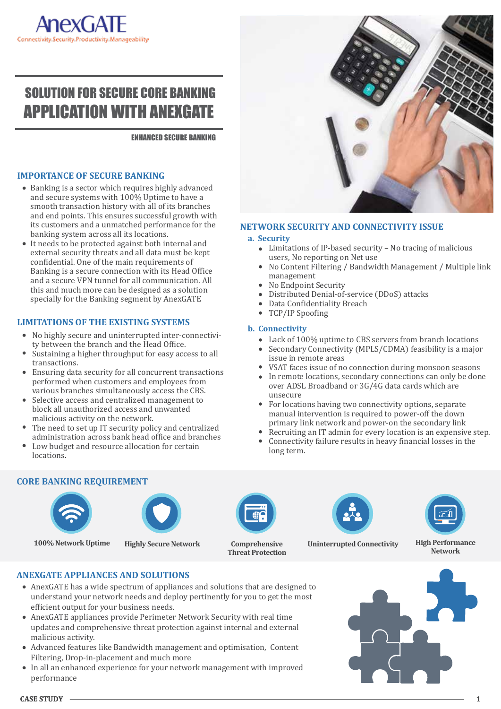# SOLUTION FOR SECURE CORE BANKING APPLICATION WITH ANEXGATE

ENHANCED SECURE BANKING

### **IMPORTANCE OF SECURE BANKING**

- Banking is a sector which requires highly advanced and secure systems with 100% Uptime to have a smooth transaction history with all of its branches and end points. This ensures successful growth with its customers and a unmatched performance for the banking system across all its locations.
- It needs to be protected against both internal and external security threats and all data must be kept confidential. One of the main requirements of Banking is a secure connection with its Head Office and a secure VPN tunnel for all communication. All this and much more can be designed as a solution specially for the Banking segment by AnexGATE

# **LIMITATIONS OF THE EXISTING SYSTEMS**

- No highly secure and uninterrupted inter-connectivity between the branch and the Head Office.
- Sustaining a higher throughput for easy access to all transactions.
- Ensuring data security for all concurrent transactions performed when customers and employees from various branches simultaneously access the CBS.
- Selective access and centralized management to block all unauthorized access and unwanted malicious activity on the network.
- The need to set up IT security policy and centralized administration across bank head office and branches
- Low budget and resource allocation for certain locations.



#### **NETWORK SECURITY AND CONNECTIVITY ISSUE**

#### **a. Security**

- Limitations of IP-based security No tracing of malicious users, No reporting on Net use
- $\bullet$ No Content Filtering / Bandwidth Management / Multiple link management
- No Endpoint Security
- Distributed Denial-of-service (DDoS) attacks
- Data Confidentiality Breach
- TCP/IP Spoofing

### **b. Connectivity**

- Lack of 100% uptime to CBS servers from branch locations
- Secondary Connectivity (MPLS/CDMA) feasibility is a major  $\bullet$ issue in remote areas
- VSAT faces issue of no connection during monsoon seasons
- In remote locations, secondary connections can only be done over ADSL Broadband or 3G/4G data cards which are unsecure
- For locations having two connectivity options, separate manual intervention is required to power-off the down primary link network and power-on the secondary link
- Recruiting an IT admin for every location is an expensive step.
- Connectivity failure results in heavy �inancial losses in the long term.

# **CORE BANKING REQUIREMENT**





**100% Network Uptime**



**Highly Secure Network Comprehensive Threat Protection**





**Uninterrupted Connectivity High Performance Network**

# **ANEXGATE APPLIANCES AND SOLUTIONS**

- AnexGATE has a wide spectrum of appliances and solutions that are designed to understand your network needs and deploy pertinently for you to get the most efficient output for your business needs.
- AnexGATE appliances provide Perimeter Network Security with real time updates and comprehensive threat protection against internal and external malicious activity.
- Advanced features like Bandwidth management and optimisation, Content Filtering, Drop-in-placement and much more
- In all an enhanced experience for your network management with improved performance

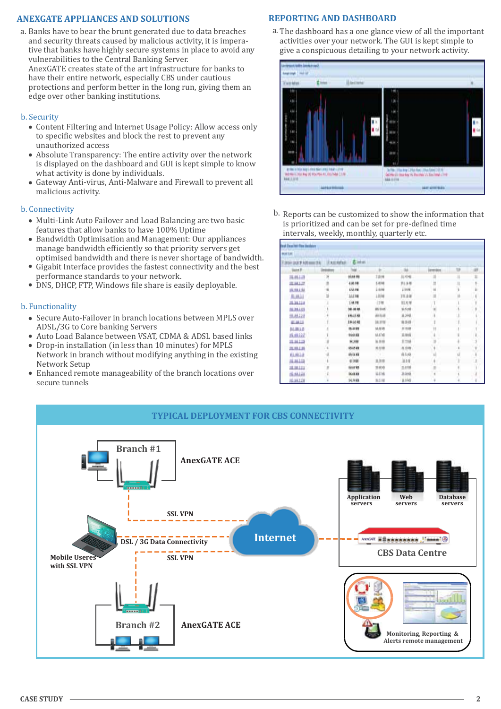# **ANEXGATE APPLIANCES AND SOLUTIONS**

a. Banks have to bear the brunt generated due to data breaches a. and security threats caused by malicious activity, it is imperative that banks have highly secure systems in place to avoid any vulnerabilities to the Central Banking Server. AnexGATE creates state of the art infrastructure for banks to have their entire network, especially CBS under cautious protections and perform better in the long run, giving them an edge over other banking institutions.

#### b. Security

- Content Filtering and Internet Usage Policy: Allow access only to specific websites and block the rest to prevent any unauthorized access
- Absolute Transparency: The entire activity over the network is displayed on the dashboard and GUI is kept simple to know what activity is done by individuals.
- Gateway Anti-virus, Anti-Malware and Firewall to prevent all malicious activity.

#### b. Connectivity

- Multi-Link Auto Failover and Load Balancing are two basic features that allow banks to have 100% Uptime
- Bandwidth Optimisation and Management: Our appliances manage bandwidth efficiently so that priority servers get optimised bandwidth and there is never shortage of bandwidth.
- Gigabit Interface provides the fastest connectivity and the best performance standards to your network.
- DNS, DHCP, FTP, Windows �ile share is easily deployable.

#### b. Functionality

- Secure Auto-Failover in branch locations between MPLS over ADSL/3G to Core banking Servers
- Auto Load Balance between VSAT, CDMA & ADSL based links
- Drop-in installation (in less than 10 minutes) for MPLS  $\bullet$ Network in branch without modifying anything in the existing Network Setup
- Enhanced remote manageability of the branch locations over secure tunnels

# **REPORTING AND DASHBOARD**

The dashboard has a one glance view of all the important activities over your network. The GUI is kept simple to give a conspicuous detailing to your network activity.



b. Reports can be customized to show the information that is prioritized and can be set for pre-defined time intervals, weekly, monthly, quarterly etc.

| <b>BULLUE</b>                              |  |                           |             |                 |                  |    |   |
|--------------------------------------------|--|---------------------------|-------------|-----------------|------------------|----|---|
| <b>Elektric</b><br><b>ASTAFAS</b><br>UGF 9 |  |                           |             |                 |                  |    |   |
|                                            |  | hai                       |             | si.             | <b>Lievenbox</b> | w  | s |
| 川井山                                        |  | <b>HUH HE</b>             | 1.916       | 日の場.            |                  | H  | n |
| 001041-207                                 |  | 4.05.88                   | 5.8118      | 別法様             |                  |    |   |
| 机油动                                        |  | 653.08                    | iam         | Lines.          |                  |    |   |
| <b>MARAZ</b>                               |  | 11196                     | 1814        | 19,846          |                  |    |   |
| 31-38-534                                  |  | 1,48.98                   | 1316        | 能对球             |                  |    |   |
| 81,391,423                                 |  | 101-0110                  | A6 tive     | \$5,51.00       |                  |    |   |
| 11, 81, 28                                 |  | 196.15.88                 | 商标板         | 8.346           |                  |    |   |
| <b>UL 84.13</b>                            |  | 194,63.88                 | 18.3716     | 0.04            |                  | 18 |   |
| H.HLO                                      |  | 15,5199                   | MAIN        | <b>11 15 18</b> |                  |    |   |
| 株式科                                        |  | 964488                    | 65,6760     | 11.69 (B)       |                  |    |   |
| 31.34.1.35                                 |  | HJB                       | 5.59        | 11 11 18        |                  |    |   |
| 31, 39, 1, 35                              |  | 15.15.99                  | <b>6118</b> | 样血糖             |                  |    |   |
| 电线机                                        |  | 65.51.93                  |             | 单位格             |                  |    |   |
| <b>JUL 36.1.113</b>                        |  | 41348                     | 京,封地        | 38.14           |                  |    |   |
| 311, 381, 5, 211                           |  | 1237 89                   | 19.404      | 11.0110         |                  |    |   |
| <b>DEAM AR</b>                             |  | <b><i><u>IA46</u></i></b> | ia Il vit   | 38.50 68        |                  |    |   |
| <b>HLAKEZR</b>                             |  | 14, Fe 89.                | 8.1/6       | <b>B.NG</b>     |                  |    |   |